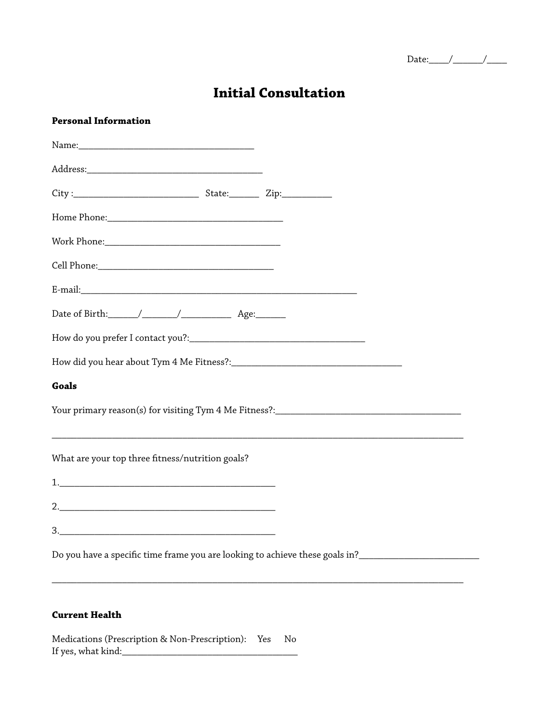| בנ<br>$  -$<br>. .<br>۰. |  |
|--------------------------|--|
|--------------------------|--|

# **Initial Consultation**

#### **Personal Information**

| Goals                                                                        |  |  |
|------------------------------------------------------------------------------|--|--|
|                                                                              |  |  |
| What are your top three fitness/nutrition goals?                             |  |  |
|                                                                              |  |  |
|                                                                              |  |  |
|                                                                              |  |  |
| Do you have a specific time frame you are looking to achieve these goals in? |  |  |

\_\_\_\_\_\_\_\_\_\_\_\_\_\_\_\_\_\_\_\_\_\_\_\_\_\_\_\_\_\_\_\_\_\_\_\_\_\_\_\_\_\_\_\_\_\_\_\_\_\_\_\_\_\_\_\_\_\_\_\_\_\_\_\_\_\_\_\_\_\_\_\_\_\_\_\_\_\_\_\_\_\_

### **Current Health**

Medications (Prescription & Non-Prescription): Yes No If yes, what kind:\_\_\_\_\_\_\_\_\_\_\_\_\_\_\_\_\_\_\_\_\_\_\_\_\_\_\_\_\_\_\_\_\_\_\_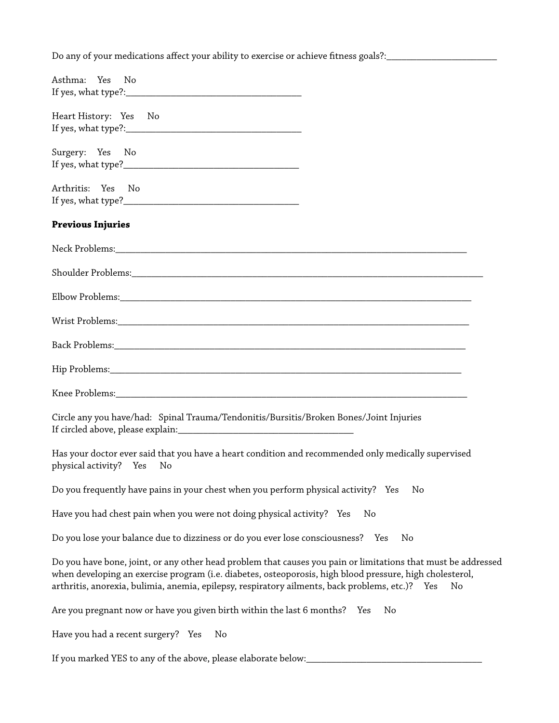Do any of your medications affect your ability to exercise or achieve fitness goals?:\_\_\_\_\_\_\_\_\_\_\_\_\_\_\_\_\_\_\_\_\_\_\_\_\_

| Asthma: Yes No                                                                                                                                                                                                                                                                                                                         |
|----------------------------------------------------------------------------------------------------------------------------------------------------------------------------------------------------------------------------------------------------------------------------------------------------------------------------------------|
| Heart History: Yes No                                                                                                                                                                                                                                                                                                                  |
| Surgery: Yes No                                                                                                                                                                                                                                                                                                                        |
| Arthritis: Yes No                                                                                                                                                                                                                                                                                                                      |
| <b>Previous Injuries</b>                                                                                                                                                                                                                                                                                                               |
|                                                                                                                                                                                                                                                                                                                                        |
|                                                                                                                                                                                                                                                                                                                                        |
|                                                                                                                                                                                                                                                                                                                                        |
|                                                                                                                                                                                                                                                                                                                                        |
|                                                                                                                                                                                                                                                                                                                                        |
|                                                                                                                                                                                                                                                                                                                                        |
|                                                                                                                                                                                                                                                                                                                                        |
| Circle any you have/had: Spinal Trauma/Tendonitis/Bursitis/Broken Bones/Joint Injuries                                                                                                                                                                                                                                                 |
| Has your doctor ever said that you have a heart condition and recommended only medically supervised<br>physical activity? Yes<br>No                                                                                                                                                                                                    |
| Do you frequently have pains in your chest when you perform physical activity? Yes<br>No                                                                                                                                                                                                                                               |
| No                                                                                                                                                                                                                                                                                                                                     |
| Do you lose your balance due to dizziness or do you ever lose consciousness?  Yes<br>No                                                                                                                                                                                                                                                |
| Do you have bone, joint, or any other head problem that causes you pain or limitations that must be addressed<br>when developing an exercise program (i.e. diabetes, osteoporosis, high blood pressure, high cholesterol,<br>arthritis, anorexia, bulimia, anemia, epilepsy, respiratory ailments, back problems, etc.)?     Yes<br>No |
| Are you pregnant now or have you given birth within the last 6 months?    Yes<br>No                                                                                                                                                                                                                                                    |
| Have you had a recent surgery? Yes<br>No                                                                                                                                                                                                                                                                                               |
| If you marked YES to any of the above, please elaborate below:_                                                                                                                                                                                                                                                                        |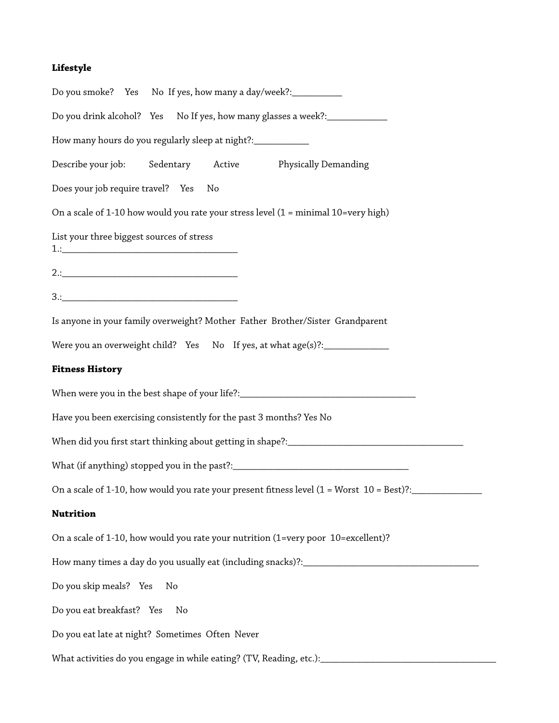#### **Lifestyle**

Do you smoke? Yes No If yes, how many a day/week?: Do you drink alcohol? Yes No If yes, how many glasses a week?: How many hours do you regularly sleep at night?:\_\_\_\_\_\_\_\_\_\_\_\_ Describe your job: Sedentary Active Physically Demanding Does your job require travel? Yes No On a scale of 1-10 how would you rate your stress level (1 = minimal 10=very high) List your three biggest sources of stress  $1$ .:  $2.:$ 3.:\_\_\_\_\_\_\_\_\_\_\_\_\_\_\_\_\_\_\_\_\_\_\_\_\_\_\_\_\_\_\_\_\_\_\_ Is anyone in your family overweight? Mother Father Brother/Sister Grandparent Were you an overweight child? Yes No If yes, at what age(s)?:\_\_\_\_\_\_\_\_\_\_\_\_\_ **Fitness History** When were you in the best shape of your life?:\_\_\_\_\_\_\_\_\_\_\_\_\_\_\_\_\_\_\_\_\_\_\_\_\_\_\_\_\_\_\_\_\_\_ Have you been exercising consistently for the past 3 months? Yes No When did you frst start thinking about getting in shape?:\_\_\_\_\_\_\_\_\_\_\_\_\_\_\_\_\_\_\_\_\_\_\_\_\_\_\_\_\_\_\_\_\_\_\_ What (if anything) stopped you in the past?:\_\_\_\_\_\_\_\_\_\_\_\_\_\_\_\_\_\_\_\_\_\_\_\_\_\_\_\_\_\_\_\_\_\_\_ On a scale of 1-10, how would you rate your present fitness level  $(1 = \text{Worst } 10 = \text{Best})$ ? **Nutrition**  On a scale of 1-10, how would you rate your nutrition (1=very poor 10=excellent)? How many times a day do you usually eat (including snacks)?:\_\_\_\_\_\_\_\_\_\_\_\_\_\_\_\_\_\_\_\_\_\_\_\_\_\_\_\_\_\_\_\_\_\_\_ Do you skip meals? Yes No Do you eat breakfast? Yes No Do you eat late at night? Sometimes Often Never What activities do you engage in while eating? (TV, Reading, etc.): \_\_\_\_\_\_\_\_\_\_\_\_\_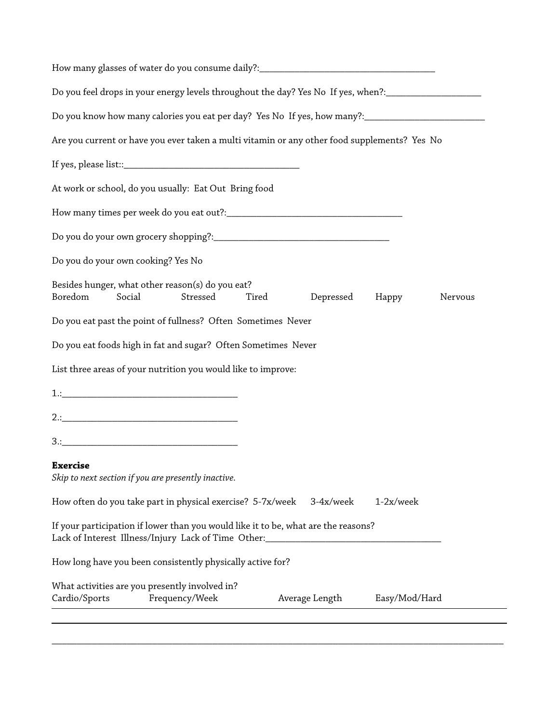| How many glasses of water do you consume daily?: ________________________________                                                         |       |                |                 |         |
|-------------------------------------------------------------------------------------------------------------------------------------------|-------|----------------|-----------------|---------|
| Do you feel drops in your energy levels throughout the day? Yes No If yes, when?:__________________                                       |       |                |                 |         |
|                                                                                                                                           |       |                |                 |         |
| Are you current or have you ever taken a multi vitamin or any other food supplements? Yes No                                              |       |                |                 |         |
|                                                                                                                                           |       |                |                 |         |
| At work or school, do you usually: Eat Out Bring food                                                                                     |       |                |                 |         |
|                                                                                                                                           |       |                |                 |         |
|                                                                                                                                           |       |                |                 |         |
| Do you do your own cooking? Yes No                                                                                                        |       |                |                 |         |
| Besides hunger, what other reason(s) do you eat?<br>Boredom<br>Social<br>Stressed                                                         | Tired | Depressed      | Happy           | Nervous |
| Do you eat past the point of fullness? Often Sometimes Never                                                                              |       |                |                 |         |
| Do you eat foods high in fat and sugar? Often Sometimes Never                                                                             |       |                |                 |         |
| List three areas of your nutrition you would like to improve:                                                                             |       |                |                 |         |
|                                                                                                                                           |       |                |                 |         |
|                                                                                                                                           |       |                |                 |         |
|                                                                                                                                           |       |                |                 |         |
| <b>Exercise</b><br>Skip to next section if you are presently inactive.                                                                    |       |                |                 |         |
| How often do you take part in physical exercise? 5-7x/week                                                                                |       | 3-4x/week      | $1-2x/$ wee $k$ |         |
| If your participation if lower than you would like it to be, what are the reasons?<br>Lack of Interest Illness/Injury Lack of Time Other: |       |                |                 |         |
| How long have you been consistently physically active for?                                                                                |       |                |                 |         |
| What activities are you presently involved in?<br>Cardio/Sports<br>Frequency/Week                                                         |       | Average Length | Easy/Mod/Hard   |         |
|                                                                                                                                           |       |                |                 |         |

\_\_\_\_\_\_\_\_\_\_\_\_\_\_\_\_\_\_\_\_\_\_\_\_\_\_\_\_\_\_\_\_\_\_\_\_\_\_\_\_\_\_\_\_\_\_\_\_\_\_\_\_\_\_\_\_\_\_\_\_\_\_\_\_\_\_\_\_\_\_\_\_\_\_\_\_\_\_\_\_\_\_\_\_\_\_\_\_\_\_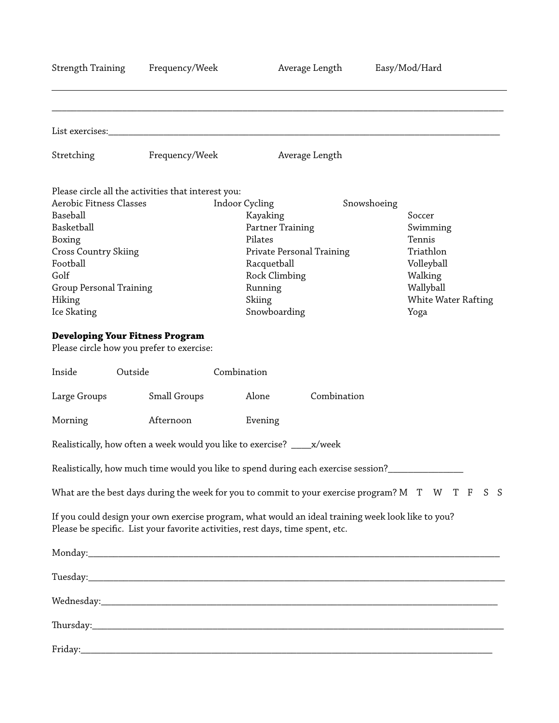| <b>Strength Training</b>                                                            | Frequency/Week                                      | Average Length                                                                                                                                                                       | Easy/Mod/Hard       |  |
|-------------------------------------------------------------------------------------|-----------------------------------------------------|--------------------------------------------------------------------------------------------------------------------------------------------------------------------------------------|---------------------|--|
|                                                                                     |                                                     |                                                                                                                                                                                      |                     |  |
| List exercises:                                                                     |                                                     |                                                                                                                                                                                      |                     |  |
| Stretching                                                                          | Frequency/Week                                      | Average Length                                                                                                                                                                       |                     |  |
|                                                                                     | Please circle all the activities that interest you: |                                                                                                                                                                                      |                     |  |
| <b>Aerobic Fitness Classes</b>                                                      |                                                     | Indoor Cycling                                                                                                                                                                       | Snowshoeing         |  |
| Baseball                                                                            |                                                     | Kayaking                                                                                                                                                                             | Soccer              |  |
| Basketball                                                                          |                                                     | Partner Training                                                                                                                                                                     | Swimming            |  |
| Boxing                                                                              |                                                     | Pilates                                                                                                                                                                              | Tennis              |  |
| <b>Cross Country Skiing</b>                                                         |                                                     | Private Personal Training                                                                                                                                                            | Triathlon           |  |
| Football                                                                            |                                                     | Racquetball                                                                                                                                                                          | Volleyball          |  |
| Golf                                                                                |                                                     | Rock Climbing                                                                                                                                                                        | Walking             |  |
| Group Personal Training                                                             |                                                     | Running                                                                                                                                                                              | Wallyball           |  |
| Hiking                                                                              |                                                     | Skiing                                                                                                                                                                               | White Water Rafting |  |
| Ice Skating                                                                         |                                                     | Snowboarding                                                                                                                                                                         | Yoga                |  |
| <b>Developing Your Fitness Program</b><br>Please circle how you prefer to exercise: |                                                     |                                                                                                                                                                                      |                     |  |
| Inside<br>Outside                                                                   |                                                     | Combination                                                                                                                                                                          |                     |  |
| Large Groups                                                                        | Small Groups                                        | Combination<br>Alone                                                                                                                                                                 |                     |  |
| Morning                                                                             | Afternoon                                           | Evening                                                                                                                                                                              |                     |  |
|                                                                                     |                                                     | Realistically, how often a week would you like to exercise? ____ x/week                                                                                                              |                     |  |
|                                                                                     |                                                     | Realistically, how much time would you like to spend during each exercise session?                                                                                                   |                     |  |
|                                                                                     |                                                     | What are the best days during the week for you to commit to your exercise program? M T W T F S                                                                                       | - S                 |  |
|                                                                                     |                                                     | If you could design your own exercise program, what would an ideal training week look like to you?<br>Please be specific. List your favorite activities, rest days, time spent, etc. |                     |  |
|                                                                                     |                                                     |                                                                                                                                                                                      |                     |  |
|                                                                                     |                                                     |                                                                                                                                                                                      |                     |  |
|                                                                                     |                                                     |                                                                                                                                                                                      |                     |  |
|                                                                                     |                                                     |                                                                                                                                                                                      |                     |  |
|                                                                                     |                                                     |                                                                                                                                                                                      |                     |  |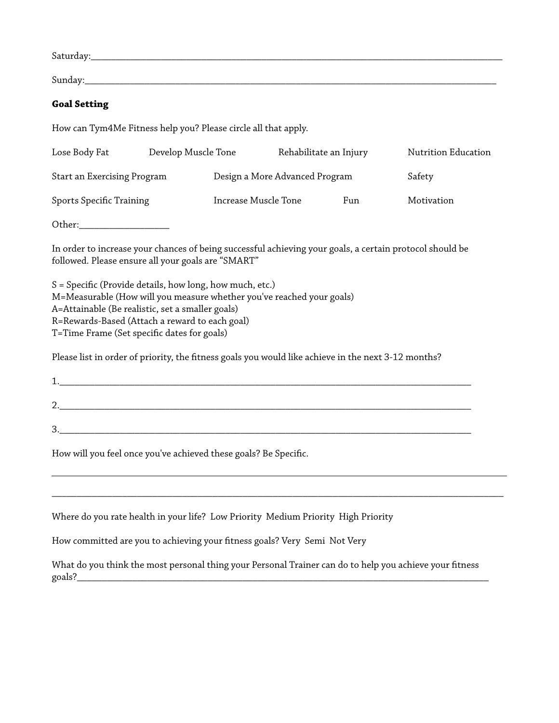Saturday: www.communications.communications.com

Sunday:\_\_\_\_\_\_\_\_\_\_\_\_\_\_\_\_\_\_\_\_\_\_\_\_\_\_\_\_\_\_\_\_\_\_\_\_\_\_\_\_\_\_\_\_\_\_\_\_\_\_\_\_\_\_\_\_\_\_\_\_\_\_\_\_\_\_\_\_\_\_\_\_\_\_\_\_\_\_\_\_\_\_

#### **Goal Setting**

How can Tym4Me Fitness help you? Please circle all that apply.

| Lose Body Fat               | Develop Muscle Tone |                      | Rehabilitate an Injury         |     | Nutrition Education |
|-----------------------------|---------------------|----------------------|--------------------------------|-----|---------------------|
| Start an Exercising Program |                     |                      | Design a More Advanced Program |     | Safety              |
| Sports Specific Training    |                     | Increase Muscle Tone |                                | Fun | Motivation          |

Other:\_\_\_\_\_\_\_\_\_\_\_\_\_\_\_\_\_\_

In order to increase your chances of being successful achieving your goals, a certain protocol should be followed. Please ensure all your goals are "SMART"

S = Specifc (Provide details, how long, how much, etc.) M=Measurable (How will you measure whether you've reached your goals) A=Attainable (Be realistic, set a smaller goals) R=Rewards-Based (Attach a reward to each goal) T=Time Frame (Set specifc dates for goals)

Please list in order of priority, the ftness goals you would like achieve in the next 3-12 months?

| <u>.</u> . |  |
|------------|--|
| n<br>J.    |  |

How will you feel once you've achieved these goals? Be Specifc.

Where do you rate health in your life? Low Priority Medium Priority High Priority

How committed are you to achieving your ftness goals? Very Semi Not Very

What do you think the most personal thing your Personal Trainer can do to help you achieve your ftness  $\text{goals?}$ 

\_\_\_\_\_\_\_\_\_\_\_\_\_\_\_\_\_\_\_\_\_\_\_\_\_\_\_\_\_\_\_\_\_\_\_\_\_\_\_\_\_\_\_\_\_\_\_\_\_\_\_\_\_\_\_\_\_\_\_\_\_\_\_\_\_\_\_\_\_\_\_\_\_\_\_\_\_\_\_\_\_\_\_\_\_\_\_\_\_\_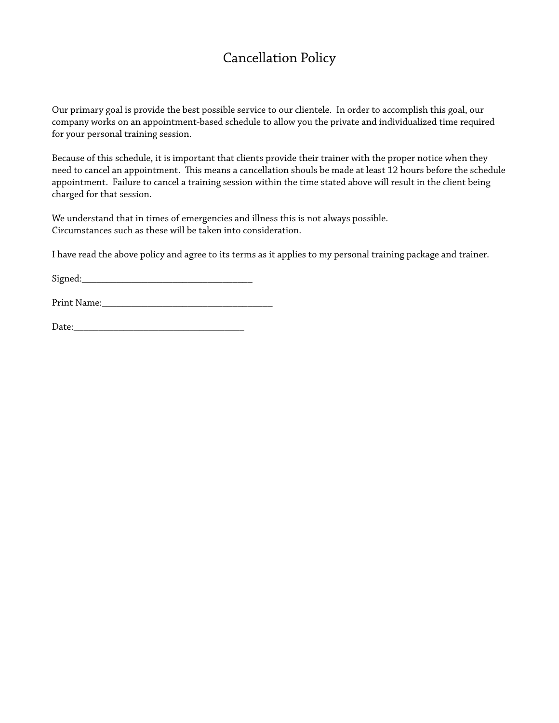# Cancellation Policy

Our primary goal is provide the best possible service to our clientele. In order to accomplish this goal, our company works on an appointment-based schedule to allow you the private and individualized time required for your personal training session.

Because of this schedule, it is important that clients provide their trainer with the proper notice when they need to cancel an appointment. This means a cancellation shouls be made at least 12 hours before the schedule appointment. Failure to cancel a training session within the time stated above will result in the client being charged for that session.

We understand that in times of emergencies and illness this is not always possible. Circumstances such as these will be taken into consideration.

I have read the above policy and agree to its terms as it applies to my personal training package and trainer.

Signed:

Print Name:\_\_\_\_\_\_\_\_\_\_\_\_\_\_\_\_\_\_\_\_\_\_\_\_\_\_\_\_\_\_\_\_\_\_

Date:\_\_\_\_\_\_\_\_\_\_\_\_\_\_\_\_\_\_\_\_\_\_\_\_\_\_\_\_\_\_\_\_\_\_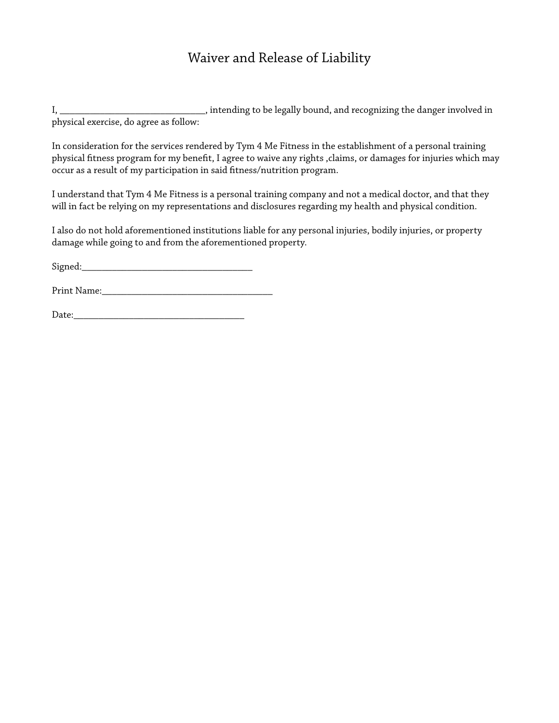### Waiver and Release of Liability

I, \_\_\_\_\_\_\_\_\_\_\_\_\_\_\_\_\_\_\_\_\_\_\_\_\_\_\_\_\_\_\_\_, intending to be legally bound, and recognizing the danger involved in physical exercise, do agree as follow:

In consideration for the services rendered by Tym 4 Me Fitness in the establishment of a personal training physical ftness program for my beneft, I agree to waive any rights ,claims, or damages for injuries which may occur as a result of my participation in said ftness/nutrition program.

I understand that Tym 4 Me Fitness is a personal training company and not a medical doctor, and that they will in fact be relying on my representations and disclosures regarding my health and physical condition.

I also do not hold aforementioned institutions liable for any personal injuries, bodily injuries, or property damage while going to and from the aforementioned property.

Signed:\_\_\_\_\_\_\_\_\_\_\_\_\_\_\_\_\_\_\_\_\_\_\_\_\_\_\_\_\_\_\_\_\_\_

Print Name:\_\_\_\_\_\_\_\_\_\_\_\_\_\_\_\_\_\_\_\_\_\_\_\_\_\_\_\_\_\_\_\_\_\_

Date:\_\_\_\_\_\_\_\_\_\_\_\_\_\_\_\_\_\_\_\_\_\_\_\_\_\_\_\_\_\_\_\_\_\_